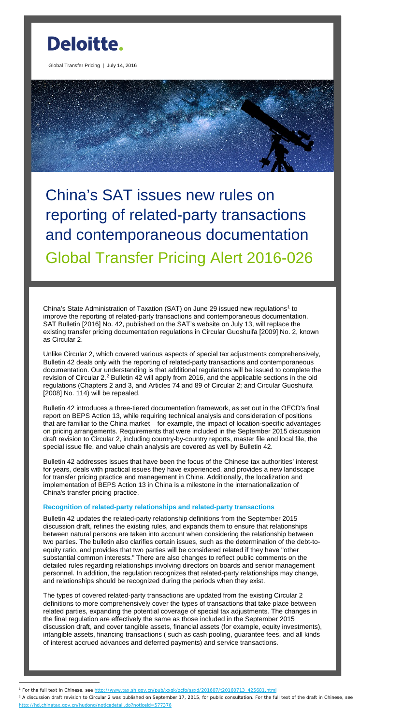

Global Transfer Pricing | July 14, 2016



China's SAT issues new rules on reporting of related-party transactions and contemporaneous documentation Global Transfer Pricing Alert 2016-026

China's State Administration of Taxation (SAT) on June 29 issued new regulations<sup>[1](#page-0-0)</sup> to improve the reporting of related-party transactions and contemporaneous documentation. SAT Bulletin [2016] No. 42, published on the SAT's website on July 13, will replace the existing transfer pricing documentation regulations in Circular Guoshuifa [2009] No. 2, known as Circular 2.

Unlike Circular 2, which covered various aspects of special tax adjustments comprehensively, Bulletin 42 deals only with the reporting of related-party transactions and contemporaneous documentation. Our understanding is that additional regulations will be issued to complete the revision of Circular [2](#page-0-1).<sup>2</sup> Bulletin 42 will apply from 2016, and the applicable sections in the old regulations (Chapters 2 and 3, and Articles 74 and 89 of Circular 2; and Circular Guoshuifa [2008] No. 114) will be repealed.

Bulletin 42 introduces a three-tiered documentation framework, as set out in the OECD's final report on BEPS Action 13, while requiring technical analysis and consideration of positions that are familiar to the China market – for example, the impact of location-specific advantages on pricing arrangements. Requirements that were included in the September 2015 discussion draft revision to Circular 2, including country-by-country reports, master file and local file, the special issue file, and value chain analysis are covered as well by Bulletin 42.

Bulletin 42 addresses issues that have been the focus of the Chinese tax authorities' interest for years, deals with practical issues they have experienced, and provides a new landscape for transfer pricing practice and management in China. Additionally, the localization and implementation of BEPS Action 13 in China is a milestone in the internationalization of China's transfer pricing practice.

## **Recognition of related-party relationships and related-party transactions**

Bulletin 42 updates the related-party relationship definitions from the September 2015 discussion draft, refines the existing rules, and expands them to ensure that relationships between natural persons are taken into account when considering the relationship between two parties. The bulletin also clarifies certain issues, such as the determination of the debt-toequity ratio, and provides that two parties will be considered related if they have "other substantial common interests." There are also changes to reflect public comments on the detailed rules regarding relationships involving directors on boards and senior management personnel. In addition, the regulation recognizes that related-party relationships may change, and relationships should be recognized during the periods when they exist.

The types of covered related-party transactions are updated from the existing Circular 2 definitions to more comprehensively cover the types of transactions that take place between related parties, expanding the potential coverage of special tax adjustments. The changes in the final regulation are effectively the same as those included in the September 2015 discussion draft, and cover tangible assets, financial assets (for example, equity investments), intangible assets, financing transactions ( such as cash pooling, guarantee fees, and all kinds of interest accrued advances and deferred payments) and service transactions.

 $\overline{a}$ 

<span id="page-0-1"></span><sup>&</sup>lt;sup>2</sup> A discussion draft revision to Circular 2 was published on September 17, 2015, for public consultation. For the full text of the draft in Chinese, see <http://hd.chinatax.gov.cn/hudong/noticedetail.do?noticeid=577376>

<span id="page-0-0"></span><sup>&</sup>lt;sup>1</sup> For the full text in Chinese, see [http://www.tax.sh.gov.cn/pub/xxgk/zcfg/ssxd/201607/t20160713\\_425681.html](http://www.tax.sh.gov.cn/pub/xxgk/zcfg/ssxd/201607/t20160713_425681.html)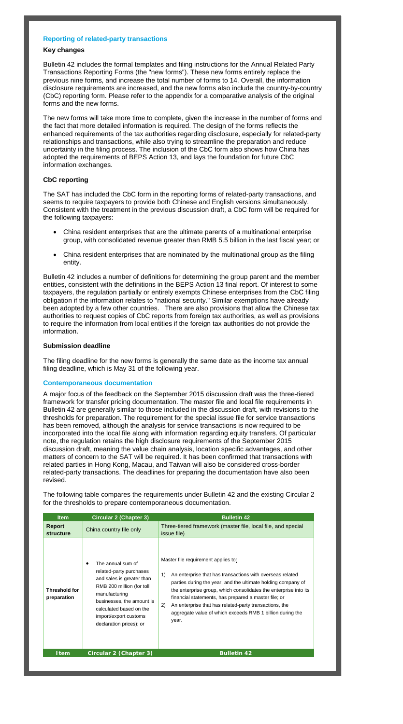## **Reporting of related-party transactions**

## **Key changes**

Bulletin 42 includes the formal templates and filing instructions for the Annual Related Party Transactions Reporting Forms (the "new forms"). These new forms entirely replace the previous nine forms, and increase the total number of forms to 14. Overall, the information disclosure requirements are increased, and the new forms also include the country-by-country (CbC) reporting form. Please refer to the appendix for a comparative analysis of the original forms and the new forms.

The new forms will take more time to complete, given the increase in the number of forms and the fact that more detailed information is required. The design of the forms reflects the enhanced requirements of the tax authorities regarding disclosure, especially for related-party relationships and transactions, while also trying to streamline the preparation and reduce uncertainty in the filing process. The inclusion of the CbC form also shows how China has adopted the requirements of BEPS Action 13, and lays the foundation for future CbC information exchanges.

# **CbC reporting**

The SAT has included the CbC form in the reporting forms of related-party transactions, and seems to require taxpayers to provide both Chinese and English versions simultaneously. Consistent with the treatment in the previous discussion draft, a CbC form will be required for the following taxpayers:

- China resident enterprises that are the ultimate parents of a multinational enterprise group, with consolidated revenue greater than RMB 5.5 billion in the last fiscal year; or
- China resident enterprises that are nominated by the multinational group as the filing entity.

Bulletin 42 includes a number of definitions for determining the group parent and the member entities, consistent with the definitions in the BEPS Action 13 final report. Of interest to some taxpayers, the regulation partially or entirely exempts Chinese enterprises from the CbC filing obligation if the information relates to "national security." Similar exemptions have already been adopted by a few other countries. There are also provisions that allow the Chinese tax authorities to request copies of CbC reports from foreign tax authorities, as well as provisions to require the information from local entities if the foreign tax authorities do not provide the information.

## **Submission deadline**

The filing deadline for the new forms is generally the same date as the income tax annual filing deadline, which is May 31 of the following year.

## **Contemporaneous documentation**

A major focus of the feedback on the September 2015 discussion draft was the three-tiered framework for transfer pricing documentation. The master file and local file requirements in Bulletin 42 are generally similar to those included in the discussion draft, with revisions to the thresholds for preparation. The requirement for the special issue file for service transactions has been removed, although the analysis for service transactions is now required to be incorporated into the local file along with information regarding equity transfers. Of particular note, the regulation retains the high disclosure requirements of the September 2015 discussion draft, meaning the value chain analysis, location specific advantages, and other matters of concern to the SAT will be required. It has been confirmed that transactions with related parties in Hong Kong, Macau, and Taiwan will also be considered cross-border related-party transactions. The deadlines for preparing the documentation have also been revised.

The following table compares the requirements under Bulletin 42 and the existing Circular 2

for the thresholds to prepare contemporaneous documentation.

| <b>Item</b>                         | <b>Circular 2 (Chapter 3)</b>                                                                                                                                                                                                       | <b>Bulletin 42</b>                                                                                                                                                                                                                                                                                                                                                                                                                       |
|-------------------------------------|-------------------------------------------------------------------------------------------------------------------------------------------------------------------------------------------------------------------------------------|------------------------------------------------------------------------------------------------------------------------------------------------------------------------------------------------------------------------------------------------------------------------------------------------------------------------------------------------------------------------------------------------------------------------------------------|
| <b>Report</b><br>structure          | China country file only                                                                                                                                                                                                             | Three-tiered framework (master file, local file, and special<br>issue file)                                                                                                                                                                                                                                                                                                                                                              |
| <b>Threshold for</b><br>preparation | The annual sum of<br>related-party purchases<br>and sales is greater than<br>RMB 200 million (for toll<br>manufacturing<br>businesses, the amount is<br>calculated based on the<br>import/export customs<br>declaration prices); or | Master file requirement applies to:<br>An enterprise that has transactions with overseas related<br>1)<br>parties during the year, and the ultimate holding company of<br>the enterprise group, which consolidates the enterprise into its<br>financial statements, has prepared a master file; or<br>2)<br>An enterprise that has related-party transactions, the<br>aggregate value of which exceeds RMB 1 billion during the<br>year. |
| <b>Item</b>                         | Circular 2 (Chapter 3)                                                                                                                                                                                                              | <b>Bulletin 42</b>                                                                                                                                                                                                                                                                                                                                                                                                                       |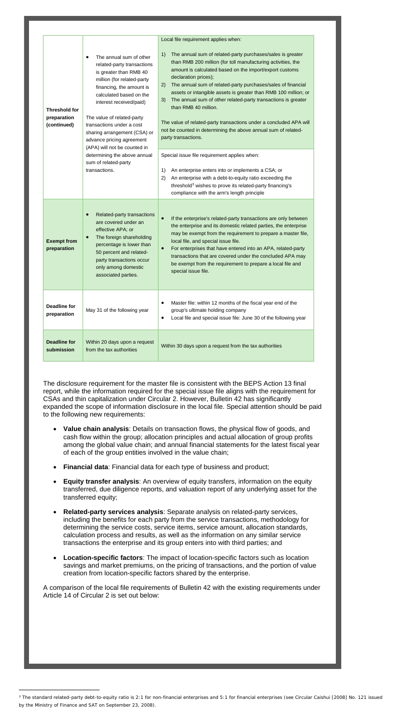|                                                    |                                                                                                                                                                                                                                                                                                                                                              | Local file requirement applies when:                                                                                                                                                                                                                                                                                                                                                                                                                                                                                                                                                                                       |  |  |
|----------------------------------------------------|--------------------------------------------------------------------------------------------------------------------------------------------------------------------------------------------------------------------------------------------------------------------------------------------------------------------------------------------------------------|----------------------------------------------------------------------------------------------------------------------------------------------------------------------------------------------------------------------------------------------------------------------------------------------------------------------------------------------------------------------------------------------------------------------------------------------------------------------------------------------------------------------------------------------------------------------------------------------------------------------------|--|--|
| <b>Threshold for</b><br>preparation<br>(continued) | The annual sum of other<br>٠<br>related-party transactions<br>is greater than RMB 40<br>million (for related-party<br>financing, the amount is<br>calculated based on the<br>interest received/paid)<br>The value of related-party<br>transactions under a cost<br>sharing arrangement (CSA) or<br>advance pricing agreement<br>(APA) will not be counted in | The annual sum of related-party purchases/sales is greater<br>1)<br>than RMB 200 million (for toll manufacturing activities, the<br>amount is calculated based on the import/export customs<br>declaration prices);<br>The annual sum of related-party purchases/sales of financial<br>2)<br>assets or intangible assets is greater than RMB 100 million; or<br>The annual sum of other related-party transactions is greater<br>3)<br>than RMB 40 million.<br>The value of related-party transactions under a concluded APA will<br>not be counted in determining the above annual sum of related-<br>party transactions. |  |  |
|                                                    | determining the above annual<br>sum of related-party<br>transactions.                                                                                                                                                                                                                                                                                        | Special issue file requirement applies when:<br>An enterprise enters into or implements a CSA; or<br>1)<br>2)<br>An enterprise with a debt-to-equity ratio exceeding the<br>threshold <sup>3</sup> wishes to prove its related-party financing's<br>compliance with the arm's length principle                                                                                                                                                                                                                                                                                                                             |  |  |
| <b>Exempt from</b><br>preparation                  | Related-party transactions<br>are covered under an<br>effective APA; or<br>The foreign shareholding<br>$\bullet$<br>percentage is lower than<br>50 percent and related-<br>party transactions occur<br>only among domestic<br>associated parties.                                                                                                            | If the enterprise's related-party transactions are only between<br>$\bullet$<br>the enterprise and its domestic related parties, the enterprise<br>may be exempt from the requirement to prepare a master file,<br>local file, and special issue file.<br>For enterprises that have entered into an APA, related-party<br>$\bullet$<br>transactions that are covered under the concluded APA may<br>be exempt from the requirement to prepare a local file and<br>special issue file.                                                                                                                                      |  |  |
| Deadline for<br>preparation                        | May 31 of the following year                                                                                                                                                                                                                                                                                                                                 | Master file: within 12 months of the fiscal year end of the<br>$\bullet$<br>group's ultimate holding company<br>Local file and special issue file: June 30 of the following year<br>$\bullet$                                                                                                                                                                                                                                                                                                                                                                                                                              |  |  |
| <b>Deadline for</b><br>submission                  | Within 20 days upon a request<br>from the tax authorities                                                                                                                                                                                                                                                                                                    | Within 30 days upon a request from the tax authorities                                                                                                                                                                                                                                                                                                                                                                                                                                                                                                                                                                     |  |  |

 $\overline{a}$ 

The disclosure requirement for the master file is consistent with the BEPS Action 13 final report, while the information required for the special issue file aligns with the requirement for CSAs and thin capitalization under Circular 2. However, Bulletin 42 has significantly expanded the scope of information disclosure in the local file. Special attention should be paid to the following new requirements:

- **Value chain analysis**: Details on transaction flows, the physical flow of goods, and cash flow within the group; allocation principles and actual allocation of group profits among the global value chain; and annual financial statements for the latest fiscal year of each of the group entities involved in the value chain;
- **Financial data**: Financial data for each type of business and product;
- **Equity transfer analysis:** An overview of equity transfers, information on the equity transferred, due diligence reports, and valuation report of any underlying asset for the transferred equity;
- **Related-party services analysis**: Separate analysis on related-party services, including the benefits for each party from the service transactions, methodology for determining the service costs, service items, service amount, allocation standards, calculation process and results, as well as the information on any similar service transactions the enterprise and its group enters into with third parties; and
- **Location-specific factors**: The impact of location-specific factors such as location savings and market premiums, on the pricing of transactions, and the portion of value creation from location-specific factors shared by the enterprise.

A comparison of the local file requirements of Bulletin 42 with the existing requirements under Article 14 of Circular 2 is set out below:

<span id="page-2-0"></span><sup>&</sup>lt;sup>3</sup> The standard related-party debt-to-equity ratio is 2:1 for non-financial enterprises and 5:1 for financial enterprises (see Circular Caishui [2008] No. 121 issued by the Ministry of Finance and SAT on September 23, 2008).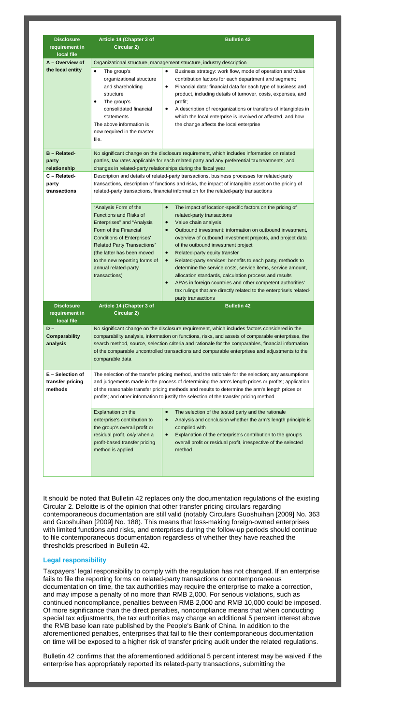| <b>Disclosure</b>                                 | <b>Article 14 (Chapter 3 of</b>                                                                                                                                                                                                                                                                                                                                                                                               | <b>Bulletin 42</b>                                                                                                                                                                                                                                                                                                                                                                                                                                                                                                                                                      |  |  |
|---------------------------------------------------|-------------------------------------------------------------------------------------------------------------------------------------------------------------------------------------------------------------------------------------------------------------------------------------------------------------------------------------------------------------------------------------------------------------------------------|-------------------------------------------------------------------------------------------------------------------------------------------------------------------------------------------------------------------------------------------------------------------------------------------------------------------------------------------------------------------------------------------------------------------------------------------------------------------------------------------------------------------------------------------------------------------------|--|--|
| requirement in<br>local file                      | <b>Circular 2)</b>                                                                                                                                                                                                                                                                                                                                                                                                            |                                                                                                                                                                                                                                                                                                                                                                                                                                                                                                                                                                         |  |  |
| A - Overview of                                   | Organizational structure, management structure, industry description                                                                                                                                                                                                                                                                                                                                                          |                                                                                                                                                                                                                                                                                                                                                                                                                                                                                                                                                                         |  |  |
| the local entity                                  | The group's<br>$\bullet$<br>organizational structure<br>and shareholding<br>structure<br>The group's<br>٠<br>consolidated financial<br>statements<br>The above information is<br>now required in the master<br>file.                                                                                                                                                                                                          | Business strategy: work flow, mode of operation and value<br>$\bullet$<br>contribution factors for each department and segment;<br>Financial data: financial data for each type of business and<br>٠<br>product, including details of turnover, costs, expenses, and<br>profit;<br>A description of reorganizations or transfers of intangibles in<br>٠<br>which the local enterprise is involved or affected, and how<br>the change affects the local enterprise                                                                                                       |  |  |
| <b>B</b> – Related-<br>party<br>relationship      |                                                                                                                                                                                                                                                                                                                                                                                                                               | No significant change on the disclosure requirement, which includes information on related<br>parties, tax rates applicable for each related party and any preferential tax treatments, and                                                                                                                                                                                                                                                                                                                                                                             |  |  |
| C - Related-<br>party<br>transactions             | changes in related-party relationships during the fiscal year<br>Description and details of related-party transactions, business processes for related-party<br>transactions, description of functions and risks, the impact of intangible asset on the pricing of<br>related-party transactions, financial information for the related-party transactions                                                                    |                                                                                                                                                                                                                                                                                                                                                                                                                                                                                                                                                                         |  |  |
|                                                   | "Analysis Form of the<br><b>Functions and Risks of</b><br>Enterprises" and "Analysis<br>Form of the Financial<br><b>Conditions of Enterprises'</b><br><b>Related Party Transactions"</b><br>(the latter has been moved<br>to the new reporting forms of<br>annual related-party<br>transactions)                                                                                                                              | The impact of location-specific factors on the pricing of<br>$\bullet$<br>related-party transactions<br>Value chain analysis<br>$\bullet$<br>Outbound investment: information on outbound investment,<br>$\bullet$<br>overview of outbound investment projects, and project data<br>of the outbound investment project<br>Related-party equity transfer<br>$\bullet$<br>Related-party services: benefits to each party, methods to<br>$\bullet$<br>determine the service costs, service items, service amount,<br>allocation standards, calculation process and results |  |  |
|                                                   |                                                                                                                                                                                                                                                                                                                                                                                                                               | APAs in foreign countries and other competent authorities'<br>tax rulings that are directly related to the enterprise's related-<br>party transactions                                                                                                                                                                                                                                                                                                                                                                                                                  |  |  |
| <b>Disclosure</b><br>requirement in<br>local file | Article 14 (Chapter 3 of<br><b>Circular 2)</b>                                                                                                                                                                                                                                                                                                                                                                                | <b>Bulletin 42</b>                                                                                                                                                                                                                                                                                                                                                                                                                                                                                                                                                      |  |  |
| $D -$<br><b>Comparability</b><br>analysis         | No significant change on the disclosure requirement, which includes factors considered in the<br>comparability analysis, information on functions, risks, and assets of comparable enterprises, the<br>search method, source, selection criteria and rationale for the comparables, financial information<br>of the comparable uncontrolled transactions and comparable enterprises and adjustments to the<br>comparable data |                                                                                                                                                                                                                                                                                                                                                                                                                                                                                                                                                                         |  |  |
| $E -$ Selection of<br>transfer pricing<br>methods | The selection of the transfer pricing method, and the rationale for the selection; any assumptions<br>and judgements made in the process of determining the arm's length prices or profits; application<br>of the reasonable transfer pricing methods and results to determine the arm's length prices or<br>profits; and other information to justify the selection of the transfer pricing method                           |                                                                                                                                                                                                                                                                                                                                                                                                                                                                                                                                                                         |  |  |
|                                                   | Explanation on the<br>enterprise's contribution to<br>the group's overall profit or<br>residual profit, only when a<br>profit-based transfer pricing<br>method is applied                                                                                                                                                                                                                                                     | The selection of the tested party and the rationale<br>$\bullet$<br>Analysis and conclusion whether the arm's length principle is<br>$\bullet$<br>complied with<br>Explanation of the enterprise's contribution to the group's<br>$\bullet$<br>overall profit or residual profit, irrespective of the selected<br>method                                                                                                                                                                                                                                                |  |  |

It should be noted that Bulletin 42 replaces only the documentation regulations of the existing

Circular 2. Deloitte is of the opinion that other transfer pricing circulars regarding contemporaneous documentation are still valid (notably Circulars Guoshuihan [2009] No. 363 and Guoshuihan [2009] No. 188). This means that loss-making foreign-owned enterprises with limited functions and risks, and enterprises during the follow-up periods should continue to file contemporaneous documentation regardless of whether they have reached the thresholds prescribed in Bulletin 42.

### **Legal responsibility**

Taxpayers' legal responsibility to comply with the regulation has not changed. If an enterprise fails to file the reporting forms on related-party transactions or contemporaneous documentation on time, the tax authorities may require the enterprise to make a correction, and may impose a penalty of no more than RMB 2,000. For serious violations, such as continued noncompliance, penalties between RMB 2,000 and RMB 10,000 could be imposed. Of more significance than the direct penalties, noncompliance means that when conducting special tax adjustments, the tax authorities may charge an additional 5 percent interest above the RMB base loan rate published by the People's Bank of China. In addition to the aforementioned penalties, enterprises that fail to file their contemporaneous documentation on time will be exposed to a higher risk of transfer pricing audit under the related regulations.

Bulletin 42 confirms that the aforementioned additional 5 percent interest may be waived if the enterprise has appropriately reported its related-party transactions, submitting the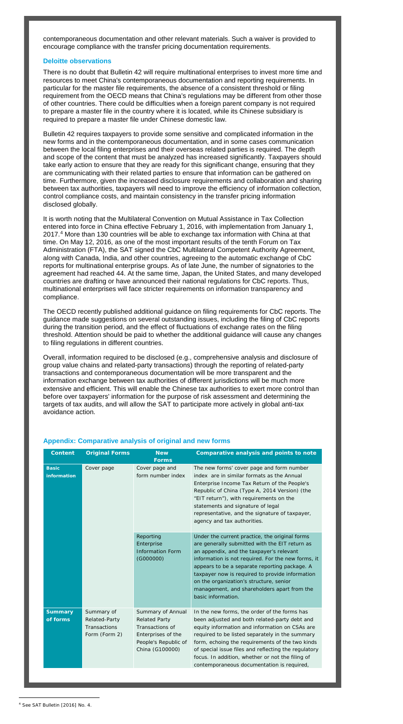contemporaneous documentation and other relevant materials. Such a waiver is provided to encourage compliance with the transfer pricing documentation requirements.

#### **Deloitte observations**

There is no doubt that Bulletin 42 will require multinational enterprises to invest more time and resources to meet China's contemporaneous documentation and reporting requirements. In particular for the master file requirements, the absence of a consistent threshold or filing requirement from the OECD means that China's regulations may be different from other those of other countries. There could be difficulties when a foreign parent company is not required to prepare a master file in the country where it is located, while its Chinese subsidiary is required to prepare a master file under Chinese domestic law.

Bulletin 42 requires taxpayers to provide some sensitive and complicated information in the new forms and in the contemporaneous documentation, and in some cases communication between the local filing enterprises and their overseas related parties is required. The depth and scope of the content that must be analyzed has increased significantly. Taxpayers should take early action to ensure that they are ready for this significant change, ensuring that they are communicating with their related parties to ensure that information can be gathered on time. Furthermore, given the increased disclosure requirements and collaboration and sharing between tax authorities, taxpayers will need to improve the efficiency of information collection, control compliance costs, and maintain consistency in the transfer pricing information disclosed globally.

It is worth noting that the Multilateral Convention on Mutual Assistance in Tax Collection entered into force in China effective February 1, 2016, with implementation from January 1, 2017.[4](#page-4-0) More than 130 countries will be able to exchange tax information with China at that time. On May 12, 2016, as one of the most important results of the tenth Forum on Tax Administration (FTA), the SAT signed the CbC Multilateral Competent Authority Agreement, along with Canada, India, and other countries, agreeing to the automatic exchange of CbC reports for multinational enterprise groups. As of late June, the number of signatories to the agreement had reached 44. At the same time, Japan, the United States, and many developed countries are drafting or have announced their national regulations for CbC reports. Thus, multinational enterprises will face stricter requirements on information transparency and compliance.

The OECD recently published additional guidance on filing requirements for CbC reports. The guidance made suggestions on several outstanding issues, including the filing of CbC reports during the transition period, and the effect of fluctuations of exchange rates on the filing threshold. Attention should be paid to whether the additional guidance will cause any changes to filing regulations in different countries.

Overall, information required to be disclosed (e.g., comprehensive analysis and disclosure of group value chains and related-party transactions) through the reporting of related-party transactions and contemporaneous documentation will be more transparent and the information exchange between tax authorities of different jurisdictions will be much more extensive and efficient. This will enable the Chinese tax authorities to exert more control than before over taxpayers' information for the purpose of risk assessment and determining the targets of tax audits, and will allow the SAT to participate more actively in global anti-tax avoidance action.

#### **Appendix: Comparative analysis of original and new forms**

| <b>Content</b>                     | <b>Original Forms</b>                                        | <b>New</b><br><b>Forms</b>                                                                                                    | Comparative analysis and points to note                                                                                                                                                                                                                                                                                                                                                                                |
|------------------------------------|--------------------------------------------------------------|-------------------------------------------------------------------------------------------------------------------------------|------------------------------------------------------------------------------------------------------------------------------------------------------------------------------------------------------------------------------------------------------------------------------------------------------------------------------------------------------------------------------------------------------------------------|
| <b>Basic</b><br><b>information</b> | Cover page                                                   | Cover page and<br>form number index                                                                                           | The new forms' cover page and form number<br>index are in similar formats as the Annual<br>Enterprise Income Tax Return of the People's<br>Republic of China (Type A, 2014 Version) (the<br>"EIT return"), with requirements on the<br>statements and signature of legal<br>representative, and the signature of taxpayer,<br>agency and tax authorities.                                                              |
|                                    |                                                              | Reporting<br>Enterprise<br><b>Information Form</b><br>(G000000)                                                               | Under the current practice, the original forms<br>are generally submitted with the EIT return as<br>an appendix, and the taxpayer's relevant<br>information is not required. For the new forms, it<br>appears to be a separate reporting package. A<br>taxpayer now is required to provide information<br>on the organization's structure, senior<br>management, and shareholders apart from the<br>basic information. |
| <b>Summary</b><br>of forms         | Summary of<br>Related-Party<br>Transactions<br>Form (Form 2) | Summary of Annual<br><b>Related Party</b><br>Transactions of<br>Enterprises of the<br>People's Republic of<br>China (G100000) | In the new forms, the order of the forms has<br>been adjusted and both related-party debt and<br>equity information and information on CSAs are<br>required to be listed separately in the summary<br>form, echoing the requirements of the two kinds<br>of special issue files and reflecting the regulatory<br>focus. In addition, whether or not the filing of<br>contemporaneous documentation is required,        |

 $\overline{a}$ 

<span id="page-4-0"></span><sup>4</sup> See SAT Bulletin [2016] No. 4.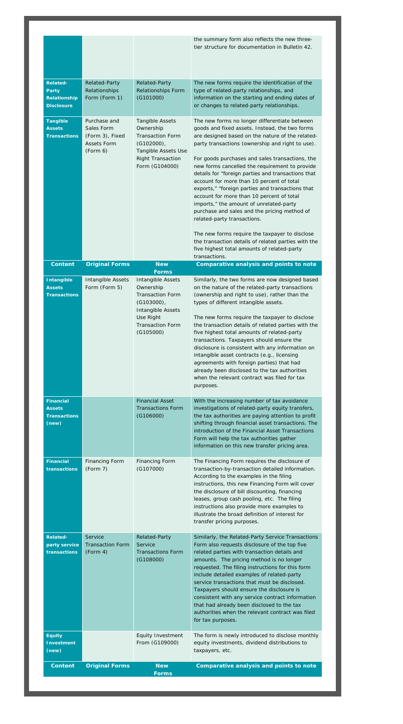|                                                                             |                                                                          |                                                                                                                                                                      | the summary form also reflects the new three-<br>tier structure for documentation in Bulletin 42.                                                                                                                                                                                                                                                                                                                                                                                                                                                                                                                                                                                                                                                                                                                   |
|-----------------------------------------------------------------------------|--------------------------------------------------------------------------|----------------------------------------------------------------------------------------------------------------------------------------------------------------------|---------------------------------------------------------------------------------------------------------------------------------------------------------------------------------------------------------------------------------------------------------------------------------------------------------------------------------------------------------------------------------------------------------------------------------------------------------------------------------------------------------------------------------------------------------------------------------------------------------------------------------------------------------------------------------------------------------------------------------------------------------------------------------------------------------------------|
| <b>Related-</b><br><b>Party</b><br><b>Relationship</b><br><b>Disclosure</b> | Related-Party<br>Relationships<br>Form (Form 1)                          | <b>Related-Party</b><br><b>Relationships Form</b><br>(G101000)                                                                                                       | The new forms require the identification of the<br>type of related-party relationships, and<br>information on the starting and ending dates of<br>or changes to related-party relationships.                                                                                                                                                                                                                                                                                                                                                                                                                                                                                                                                                                                                                        |
| <b>Tangible</b><br><b>Assets</b><br><b>Transactions</b>                     | Purchase and<br>Sales Form<br>(Form 3), Fixed<br>Assets Form<br>(Form 6) | <b>Tangible Assets</b><br>Ownership<br><b>Transaction Form</b><br>$(G102000)$ ,<br>Tangible Assets Use<br><b>Right Transaction</b><br>Form (G104000)                 | The new forms no longer differentiate between<br>goods and fixed assets. Instead, the two forms<br>are designed based on the nature of the related-<br>party transactions (ownership and right to use).<br>For goods purchases and sales transactions, the<br>new forms cancelled the requirement to provide<br>details for "foreign parties and transactions that<br>account for more than 10 percent of total<br>exports," "foreign parties and transactions that<br>account for more than 10 percent of total<br>imports," the amount of unrelated-party<br>purchase and sales and the pricing method of<br>related-party transactions.<br>The new forms require the taxpayer to disclose<br>the transaction details of related parties with the<br>five highest total amounts of related-party<br>transactions. |
| <b>Content</b>                                                              | <b>Original Forms</b>                                                    | <b>New</b>                                                                                                                                                           | Comparative analysis and points to note                                                                                                                                                                                                                                                                                                                                                                                                                                                                                                                                                                                                                                                                                                                                                                             |
| <b>Intangible</b><br><b>Assets</b><br><b>Transactions</b>                   | Intangible Assets<br>Form (Form 5)                                       | <b>Forms</b><br>Intangible Assets<br>Ownership<br><b>Transaction Form</b><br>$(G103000)$ ,<br>Intangible Assets<br>Use Right<br><b>Transaction Form</b><br>(G105000) | Similarly, the two forms are now designed based<br>on the nature of the related-party transactions<br>(ownership and right to use), rather than the<br>types of different intangible assets.<br>The new forms require the taxpayer to disclose<br>the transaction details of related parties with the<br>five highest total amounts of related-party<br>transactions. Taxpayers should ensure the<br>disclosure is consistent with any information on<br>intangible asset contracts (e.g., licensing<br>agreements with foreign parties) that had<br>already been disclosed to the tax authorities<br>when the relevant contract was filed for tax<br>purposes.                                                                                                                                                     |
| <b>Financial</b><br><b>Assets</b><br><b>Transactions</b><br>(new)           |                                                                          | <b>Financial Asset</b><br><b>Transactions Form</b><br>(G106000)                                                                                                      | With the increasing number of tax avoidance<br>investigations of related-party equity transfers,<br>the tax authorities are paying attention to profit<br>shifting through financial asset transactions. The<br>introduction of the Financial Asset Transactions<br>Form will help the tax authorities gather<br>information on this new transfer pricing area.                                                                                                                                                                                                                                                                                                                                                                                                                                                     |
| <b>Financial</b><br>transactions                                            | <b>Financing Form</b><br>(Form 7)                                        | <b>Financing Form</b><br>(G107000)                                                                                                                                   | The Financing Form requires the disclosure of<br>transaction-by-transaction detailed information.<br>According to the examples in the filing<br>instructions, this new Financing Form will cover<br>the disclosure of bill discounting, financing<br>leases, group cash pooling, etc. The filing<br>instructions also provide more examples to<br>illustrate the broad definition of interest for<br>transfer pricing purposes.                                                                                                                                                                                                                                                                                                                                                                                     |
| <b>Related-</b><br>party service<br><b>transactions</b>                     | Service<br><b>Transaction Form</b><br>(Form 4)                           | <b>Related-Party</b><br>Service<br><b>Transactions Form</b><br>(G108000)                                                                                             | Similarly, the Related-Party Service Transactions<br>Form also requests disclosure of the top five<br>related parties with transaction details and<br>amounts. The pricing method is no longer<br>requested. The filing instructions for this form<br>include detailed examples of related-party<br>service transactions that must be disclosed.<br>Taxpayers should ensure the disclosure is<br>consistent with any service contract information<br>that had already been disclosed to the tax<br>authorities when the relevant contract was filed                                                                                                                                                                                                                                                                 |
|                                                                             |                                                                          |                                                                                                                                                                      | for tax purposes.                                                                                                                                                                                                                                                                                                                                                                                                                                                                                                                                                                                                                                                                                                                                                                                                   |
| <b>Equity</b><br><b>Investment</b><br>(new)                                 |                                                                          | <b>Equity Investment</b><br>From (G109000)                                                                                                                           | The form is newly introduced to disclose monthly<br>equity investments, dividend distributions to<br>taxpayers, etc.                                                                                                                                                                                                                                                                                                                                                                                                                                                                                                                                                                                                                                                                                                |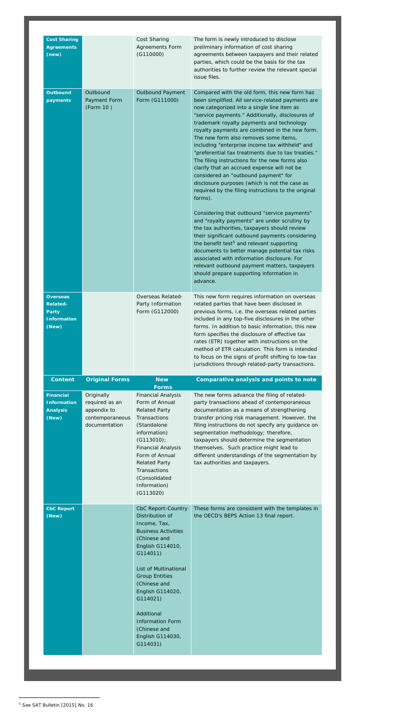| <b>Cost Sharing</b><br><b>Agreements</b><br>(new)                                 |                                                                                 | Cost Sharing<br><b>Agreements Form</b><br>(G110000)                                                                                                                                                                                                                      | The form is newly introduced to disclose<br>preliminary information of cost sharing<br>agreements between taxpayers and their related<br>parties, which could be the basis for the tax<br>authorities to further review the relevant special<br>issue files.                                                                                                                                                                                                                                                                                                                                                                                                                                                                                                                                                                                                                                                                                                                                                                                                                                                                                                                          |
|-----------------------------------------------------------------------------------|---------------------------------------------------------------------------------|--------------------------------------------------------------------------------------------------------------------------------------------------------------------------------------------------------------------------------------------------------------------------|---------------------------------------------------------------------------------------------------------------------------------------------------------------------------------------------------------------------------------------------------------------------------------------------------------------------------------------------------------------------------------------------------------------------------------------------------------------------------------------------------------------------------------------------------------------------------------------------------------------------------------------------------------------------------------------------------------------------------------------------------------------------------------------------------------------------------------------------------------------------------------------------------------------------------------------------------------------------------------------------------------------------------------------------------------------------------------------------------------------------------------------------------------------------------------------|
| <b>Outbound</b><br>payments                                                       | Outbound<br>Payment Form<br>(Form 10)                                           | <b>Outbound Payment</b><br>Form (G111000)                                                                                                                                                                                                                                | Compared with the old form, this new form has<br>been simplified. All service-related payments are<br>now categorized into a single line item as<br>"service payments." Additionally, disclosures of<br>trademark royalty payments and technology<br>royalty payments are combined in the new form.<br>The new form also removes some items,<br>including "enterprise income tax withheld" and<br>"preferential tax treatments due to tax treaties."<br>The filing instructions for the new forms also<br>clarify that an accrued expense will not be<br>considered an "outbound payment" for<br>disclosure purposes (which is not the case as<br>required by the filing instructions to the original<br>forms).<br>Considering that outbound "service payments"<br>and "royalty payments" are under scrutiny by<br>the tax authorities, taxpayers should review<br>their significant outbound payments considering<br>the benefit test <sup>5</sup> and relevant supporting<br>documents to better manage potential tax risks<br>associated with information disclosure. For<br>relevant outbound payment matters, taxpayers<br>should prepare supporting information in<br>advance. |
| <b>Overseas</b><br><b>Related-</b><br><b>Party</b><br><b>Information</b><br>(New) |                                                                                 | Overseas Related-<br>Party Information<br>Form (G112000)                                                                                                                                                                                                                 | This new form requires information on overseas<br>related parties that have been disclosed in<br>previous forms, i.e. the overseas related parties<br>included in any top-five disclosures in the other<br>forms. In addition to basic information, this new<br>form specifies the disclosure of effective tax<br>rates (ETR) together with instructions on the<br>method of ETR calculation. This form is intended<br>to focus on the signs of profit shifting to low-tax<br>jurisdictions through related-party transactions.                                                                                                                                                                                                                                                                                                                                                                                                                                                                                                                                                                                                                                                       |
| <b>Content</b>                                                                    | <b>Original Forms</b>                                                           | <b>New</b><br><b>Forms</b>                                                                                                                                                                                                                                               | Comparative analysis and points to note                                                                                                                                                                                                                                                                                                                                                                                                                                                                                                                                                                                                                                                                                                                                                                                                                                                                                                                                                                                                                                                                                                                                               |
| <b>Financial</b><br><b>Information</b><br><b>Analysis</b><br>(New)                | Originally<br>required as an<br>appendix to<br>contemporaneous<br>documentation | <b>Financial Analysis</b><br>Form of Annual<br><b>Related Party</b><br>Transactions<br>(Standalone<br>information)<br>$(G113010)$ ;<br><b>Financial Analysis</b><br>Form of Annual<br><b>Related Party</b><br>Transactions<br>(Consolidated<br>Information)<br>(G113020) | The new forms advance the filing of related-<br>party transactions ahead of contemporaneous<br>documentation as a means of strengthening<br>transfer pricing risk management. However, the<br>filing instructions do not specify any guidance on<br>segmentation methodology; therefore,<br>taxpayers should determine the segmentation<br>themselves. Such practice might lead to<br>different understandings of the segmentation by<br>tax authorities and taxpayers.                                                                                                                                                                                                                                                                                                                                                                                                                                                                                                                                                                                                                                                                                                               |

| <b>CbC Report</b> | CbC Report-Country                                                                                | These forms are consistent with the templates in |
|-------------------|---------------------------------------------------------------------------------------------------|--------------------------------------------------|
| (New)             | Distribution of<br>Income, Tax,<br><b>Business Activities</b><br>(Chinese and<br>English G114010, | the OECD's BEPS Action 13 final report.          |
|                   | G114011)<br>List of Multinational<br><b>Group Entities</b>                                        |                                                  |
|                   | (Chinese and<br>English G114020,<br>G114021)                                                      |                                                  |
|                   | Additional<br><b>Information Form</b><br>(Chinese and<br>English G114030,<br>G114031)             |                                                  |

<span id="page-6-0"></span><sup>5</sup> See SAT Bulletin [2015] No. 16

 $\overline{a}$